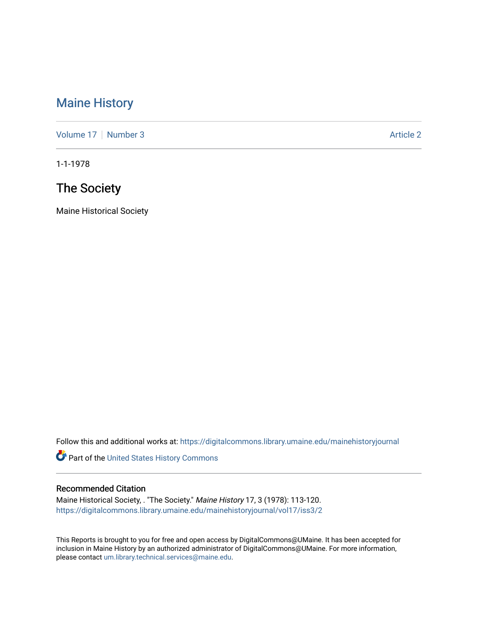### [Maine History](https://digitalcommons.library.umaine.edu/mainehistoryjournal)

[Volume 17](https://digitalcommons.library.umaine.edu/mainehistoryjournal/vol17) | [Number 3](https://digitalcommons.library.umaine.edu/mainehistoryjournal/vol17/iss3) Article 2

1-1-1978

### The Society

Maine Historical Society

Follow this and additional works at: [https://digitalcommons.library.umaine.edu/mainehistoryjournal](https://digitalcommons.library.umaine.edu/mainehistoryjournal?utm_source=digitalcommons.library.umaine.edu%2Fmainehistoryjournal%2Fvol17%2Fiss3%2F2&utm_medium=PDF&utm_campaign=PDFCoverPages) 

Part of the [United States History Commons](http://network.bepress.com/hgg/discipline/495?utm_source=digitalcommons.library.umaine.edu%2Fmainehistoryjournal%2Fvol17%2Fiss3%2F2&utm_medium=PDF&utm_campaign=PDFCoverPages) 

#### Recommended Citation

Maine Historical Society, . "The Society." Maine History 17, 3 (1978): 113-120. [https://digitalcommons.library.umaine.edu/mainehistoryjournal/vol17/iss3/2](https://digitalcommons.library.umaine.edu/mainehistoryjournal/vol17/iss3/2?utm_source=digitalcommons.library.umaine.edu%2Fmainehistoryjournal%2Fvol17%2Fiss3%2F2&utm_medium=PDF&utm_campaign=PDFCoverPages)

This Reports is brought to you for free and open access by DigitalCommons@UMaine. It has been accepted for inclusion in Maine History by an authorized administrator of DigitalCommons@UMaine. For more information, please contact [um.library.technical.services@maine.edu.](mailto:um.library.technical.services@maine.edu)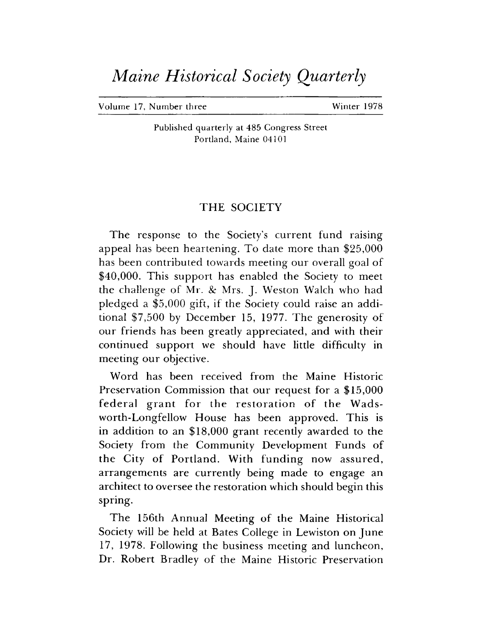# *Maine Historical Society Quarterly*

Volume 17, Number three Winter 1978

Published quarterly at 485 Congress Street Portland, Maine 04101

#### THE SOCIETY

The response to the Society's current fund raising appeal has been heartening. To date more than \$25,000 has been contributed towards meeting our overall goal of \$40,000. This support has enabled the Society to meet the challenge of Mr. & Mrs. J. Weston Walch who had pledged a \$5,000 gift, if the Society could raise an additional \$7,500 by December 15, 1977. The generosity of our friends has been greatly appreciated, and with their continued support we should have little difficulty in meeting our objective.

Word has been received from the Maine Historic Preservation Commission that our request for a \$15,000 federal grant for the restoration of the Wadsworth-Longfellow House has been approved. This is in addition to an \$18,000 grant recently awarded to the Society from the Community Development Funds of the City of Portland. With funding now assured, arrangements are currently being made to engage an architect to oversee the restoration which should begin this spring.

The 156th Annual Meeting of the Maine Historical Society will be held at Bates College in Lewiston on June 17, 1978. Following the business meeting and luncheon, Dr. Robert Bradley of the Maine Historic Preservation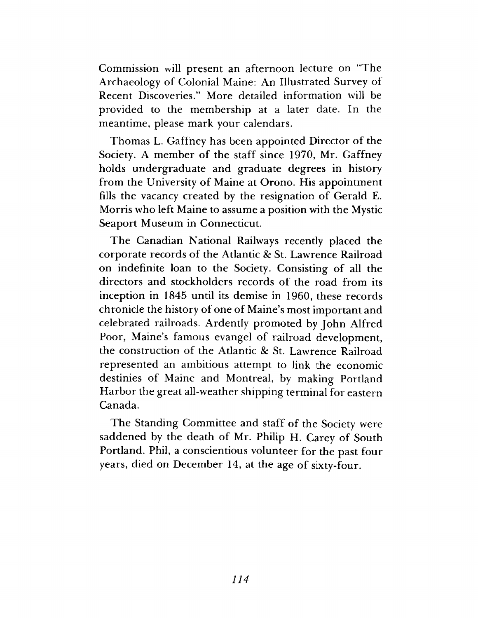Commission will present an afternoon lecture on "The Archaeology of Colonial Maine: An Illustrated Survey of Recent Discoveries." More detailed information will be provided to the membership at a later date. In the meantime, please mark your calendars.

Thomas L. Gaffney has been appointed Director of the Society. A member of the staff since 1970, Mr. Gaffney holds undergraduate and graduate degrees in history from the University of Maine at Orono. His appointment fills the vacancy created by the resignation of Gerald E. Morris who left Maine to assume a position with the Mystic Seaport Museum in Connecticut.

The Canadian National Railways recently placed the corporate records of the Atlantic *8c* St. Lawrence Railroad on indefinite loan to the Society. Consisting of all the directors and stockholders records of the road from its inception in 1845 until its demise in 1960, these records chronicle the history of one of Maine's most important and celebrated railroads. Ardently promoted by John Alfred Poor, Maine's famous evangel of railroad development, the construction of the Atlantic & St. Lawrence Railroad represented an ambitious attempt to link the economic destinies of Maine and Montreal, by making Portland Harbor the great all-weather shipping terminal for eastern Canada.

The Standing Committee and staff of the Society were saddened by the death of Mr. Philip H. Carey of South Portland. Phil, a conscientious volunteer for the past four years, died on December 14, at the age of sixty-four.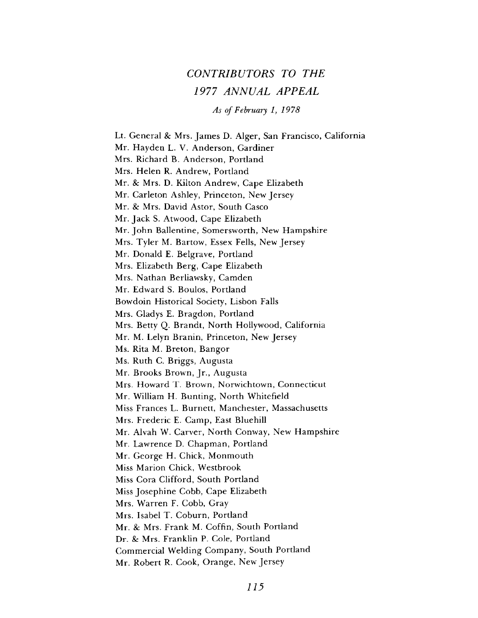## *CONTRIBUTORS TO THE 1977 ANNUAL APPEAL*

*As of February 1, 1978*

Lt. General & Mrs. James D. Alger, San Francisco, California Mr. Hayden L. V. Anderson, Gardiner Mrs. Richard B. Anderson, Portland Mrs. Helen R. Andrew, Portland Mr. *8c* Mrs. D. Kilton Andrew, Cape Elizabeth Mr. Carleton Ashley, Princeton, New Jersey Mr. *8c* Mrs. David Astor, South Casco Mr. Jack S. Atwood, Cape Elizabeth Mr. John Ballentine, Somersworth, New Hampshire Mrs. Tyler M. Bartow, Essex Fells, New Jersey Mr. Donald E. Belgrave, Portland Mrs. Elizabeth Berg, Cape Elizabeth Mrs. Nathan Berliawsky, Camden Mr. Edward S. Boulos, Portland Bowdoin Historical Society, Lisbon Falls Mrs. Gladys E. Bragdon, Portland Mrs. Betty Q. Brandt, North Hollywood, California Mr. M. Lelyn Branin, Princeton, New Jersey Ms. Rita M. Breton, Bangor Ms. Ruth C. Briggs, Augusta Mr. Brooks Brown, Jr., Augusta Mrs. Howard T. Brown, Norwichtown, Connecticut Mr. William H. Bunting, North Whitefield Miss Frances L. Burnett, Manchester, Massachusetts Mrs. Frederic E, Camp, East Bluehill Mr. Alvah W. Carver, North Conway, New Hampshire Mr. Lawrence D. Chapman, Portland Mr. George H. Chick, Monmouth Miss Marion Chick, Westbrook Miss Cora Clifford, South Portland Miss Josephine Cobb, Cape Elizabeth Mrs. Warren F. Cobb, Gray Mrs. Isabel T. Coburn, Portland Mr. *8c* Mrs. Frank M. Coffin, South Portland Dr. *8c* Mrs. Franklin P. Cole, Portland Commercial Welding Company, South Portland Mr. Robert R. Cook, Orange, New Jersey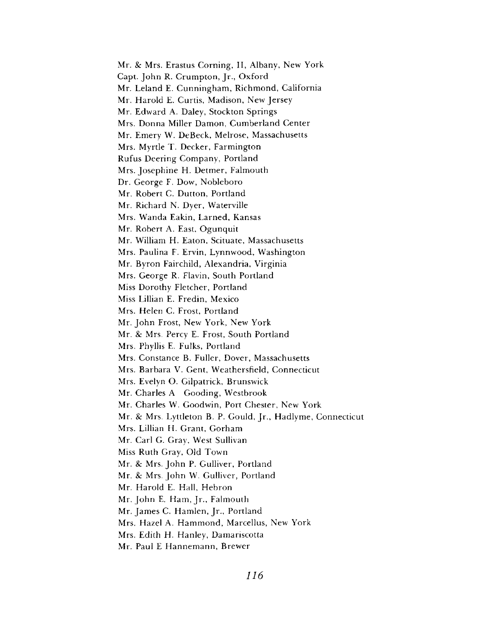Mr. *Sc* Mrs. Erastus Corning, II, Albany, New York Capt. John R. Crumpton, Jr., Oxford Mr. Leland E. Cunningham, Richmond, California Mr. Harold E. Curtis, Madison, New Jersey Mr. Edward A. Daley, Stockton Springs Mrs. Donna Miller Damon, Cum berland Center Mr. Emery W. DeBeck, Melrose, Massachusetts Mrs. Myrtle T. Decker, Farmington Rufus Deering Company, Portland Mrs. Josephine H. Detmer, Falmouth Dr. George F. Dow, Nobleboro Mr, Robert C. Dutton, Portland Mr. Richard N. Dyer, Waterville Mrs. Wanda Eakin, Larned, Kansas Mr. Robert A. East, Ogunquit Mr. William H. Eaton, Scituate, Massachusetts Mrs. Paulina F. Ervin, Lynnwood, Washington Mr. Byron Fairchild, Alexandria, Virginia Mrs. George R. Flavin, South Portland Miss Dorothy Fletcher, Portland Miss Lillian E. Fredin, Mexico Mrs. Helen C. Frost, Portland Mr. John Frost, New York, New York Mr. *Sc* Mrs, Percy E. Frost, South Portland Mrs. Phyllis E. Fulks, Portland Mrs. Constance B. Fuller, Dover, Massachusetts Mrs. Barbara V. Gent, Weathersfield, Connecticut Mrs. Evelyn O. Gilpatrick, Brunswick Mr. Charles A Gooding, Westbrook Mr. Charles W. Goodwin, Port Chester, New York Mr. & Mrs. Lyttleton B. P. Gould, Jr., Hadlyme, Connecticut Mrs. Lillian H. Grant, Gorham Mr. Carl G. Gray, West Sullivan Miss Ruth Gray, Old Town Mr. *Sc* Mrs, John P. Gulliver, Portland Mr. *Sc* Mrs. John W. Gulliver, Portland Mr. Harold E. Hall, Hebron Mr. John E. Ham, Jr., Falmouth Mr. James C. Hamlen, Jr., Portland Mrs. Hazel A. Hammond, Marcellus, New York Mrs. Edith H. Hanley, Damariscotta Mr. Paul E Hannemann, Brewer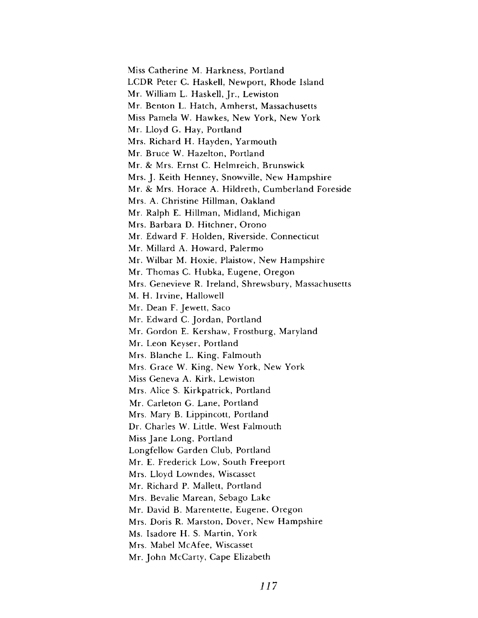Miss Catherine M, Harkness, Portland LCDR Peter C. Haskell, Newport, Rhode Island Mr. William L. Haskell, Jr., Lewiston Mr. Benton L. Hatch, Amherst, Massachusetts Miss Pamela W. Hawkes, New York, New York Mr. Lloyd G. Hay, Portland Mrs. Richard H. Hayden, Yarmouth Mr. Bruce W. Hazelton, Portland Mr. *8c* Mrs. Ernst C. Helm reich, Brunswick Mrs. J. Keith Henney, Snowville, New Hampshire Mr. & Mrs. Horace A. Hildreth, Cumberland Foreside Mrs. A. Christine Hillman, Oakland Mr. Ralph E. Hillman, Midland, Michigan Mrs. Barbara D. Hitchner, Orono Mr. Edward F. Holden, Riverside, Connecticut Mr. Millard A. Howard, Palermo Mr. Wilbar M. Hoxie, Plaistow, New Hampshire Mr. Thomas C. Hubka, Eugene, Oregon Mrs. Genevieve R. Ireland, Shrewsbury, Massachusetts M. H. Irvine, Hallowell Mr. Dean F. Jewett, Saco Mr. Edward C. Jordan, Portland Mr. Gordon E. Kershaw, Frostburg, Maryland Mr. Leon Keyser, Portland Mrs. Blanche L. King, Falmouth Mrs. Grace W. King, New York, New York Miss Geneva A. Kirk, Lewiston Mrs. Alice S. Kirkpatrick, Portland Mr. Carleton G. Lane, Portland Mrs. Mary B. Lippincott, Portland Dr. Charles W. Little, West Falmouth Miss Jane Long, Portland Longfellow Garden Club, Portland Mr. E. Frederick Low, South Freeport Mrs. Lloyd Lowndes, Wiscasset Mr. Richard P. Mallett, Portland Mrs. Bevalie Marean, Sebago Lake Mr. David B. Marentette, Eugene, Oregon Mrs. Doris R. Marston, Dover, New Hampshire Ms. Isadore H. S. Martin, York Mrs. Mabel McAfee, Wiscasset Mr. John McCarty, Cape Elizabeth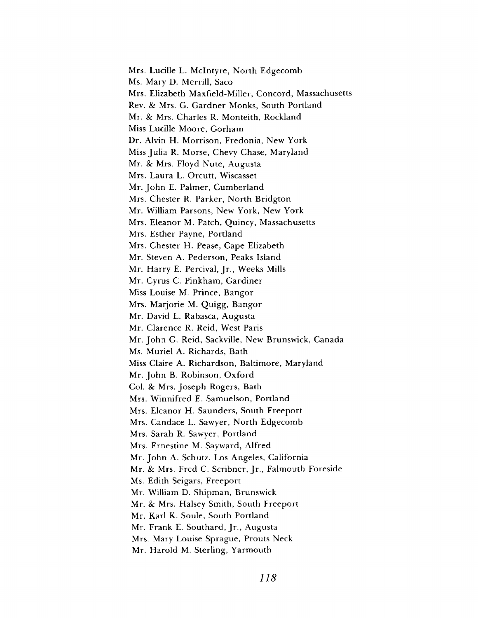Mrs. Lucille L. McIntyre, North Edgecomb Ms. Mary D. Merrill, Saco Mrs. Elizabeth Maxfield-Miller, Concord, Massachusetts Rev. & Mrs. G. Gardner Monks, South Portland Mr. *8c* Mrs. Charles R. Monteith, Rockland Miss Lucille Moore, Gorham Dr. Alvin H. Morrison, Fredonia, New York Miss Julia R. Morse, Chevy Chase, Maryland Mr. *8c* Mrs. Floyd Nute, Augusta Mrs. Laura L. Orcutt, Wiscasset Mr. John E. Palmer, Cumberland Mrs. Chester R. Parker, North Bridgton Mr. William Parsons, New York, New York Mrs. Eleanor M. Patch, Quincy, Massachusetts Mrs. Esther Payne, Portland Mrs. Chester H. Pease, Cape Elizabeth Mr. Steven A. Pederson, Peaks Island Mr. Harry E. Percival, Jr., Weeks Mills Mr. Cyrus C. Pinkham, Gardiner Miss Louise M. Prince, Bangor Mrs. Marjorie M. Quigg, Bangor Mr. David L. Rabasca, Augusta Mr. Clarence R. Reid, West Paris Mr. John G. Reid, Sackville, New Brunswick, Canada Ms. Muriel A. Richards, Bath Miss Claire A. Richardson, Baltimore, Maryland Mr. John B. Robinson, Oxford Col. *8c* Mrs. Joseph Rogers, Bath Mrs. Winnifred E. Samuelson, Portland Mrs. Eleanor H. Saunders, South Freeport Mrs. Candace L. Sawyer, North Edgecomb Mrs. Sarah R. Sawyer, Portland Mrs. Ernestine M. Sayward, Alfred Mr. John A. Schutz, Los Angeles, California Mr. *8c* Mrs. Fred C. Scribner, Jr., Falmouth Foreside Ms. Edith Seigars, Freeport Mr. William D. Shipman, Brunswick Mr. *8c* Mrs. Halsey Smith, South Freeport Mr. Karl K. Soule, South Portland Mr. Frank E. Southard, Jr., Augusta Mrs. Mary Louise Sprague, Prouts Neck Mr. Harold M. Sterling, Yarmouth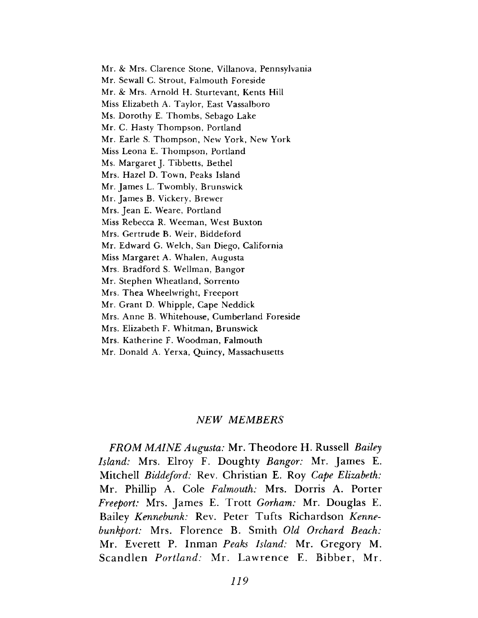Mr. & Mrs. Clarence Stone, Villanova, Pennsylvania Mr. Sewall C. Strout, Falmouth Foreside Mr. *8c* Mrs. A rnold H. Sturtevant, Kents Hill Miss Elizabeth A. Taylor, East Vassalboro Ms. Dorothy E. Thombs, Sebago Lake Mr. C. Hasty Thompson, Portland Mr. Earle S. Thompson, New York, New York Miss Leona E. Thompson, Portland Ms. Margaret J. Tibbetts, Bethel Mrs. Hazel D. Town, Peaks Island Mr. James L. Twombly, Brunswick Mr. James B. Vickery, Brewer Mrs. Jean E. Weare, Portland Miss Rebecca R. Weeman, West Buxton Mrs. Gertrude B. Weir, Biddeford Mr. Edward G. Welch, San Diego, California Miss Margaret A. Whalen, Augusta Mrs. Bradford S. Wellman, Bangor Mr. Stephen Wheatland, Sorrento Mrs. Thea Wheelwright, Freeport Mr. Grant D. Whipple, Cape Neddick Mrs. Anne B. Whitehouse, Cumberland Foreside Mrs. Elizabeth F. Whitman, Brunswick Mrs. Katherine F. Woodman, Falmouth Mr. Donald A. Yerxa, Quincy, Massachusetts

#### *NEW MEMBERS*

*FROM MAINE Augusta:* Mr. Theodore H. Russell *Bailey Island:* Mrs. Elroy F. Doughty *Bangor:* Mr. James E. Mitchell *Biddeford:* Rev. Christian E. Roy *Cape Elizabeth:* Mr. Phillip A. Cole *Falmouth:* Mrs. Dorris A. Porter *Freeport:* Mrs. James E. Trott *Gorham:* Mr. Douglas E. Bailey *Kennebunk:* Rev. Peter Tufts Richardson *Kennebunkport:* Mrs. Florence B. Smith *Old Orchard Beach:* Mr. Everett P. Inman *Peaks Island:* Mr. Gregory M. Scandlen *Portland:* Mr. Lawrence E. Bibber, Mr.